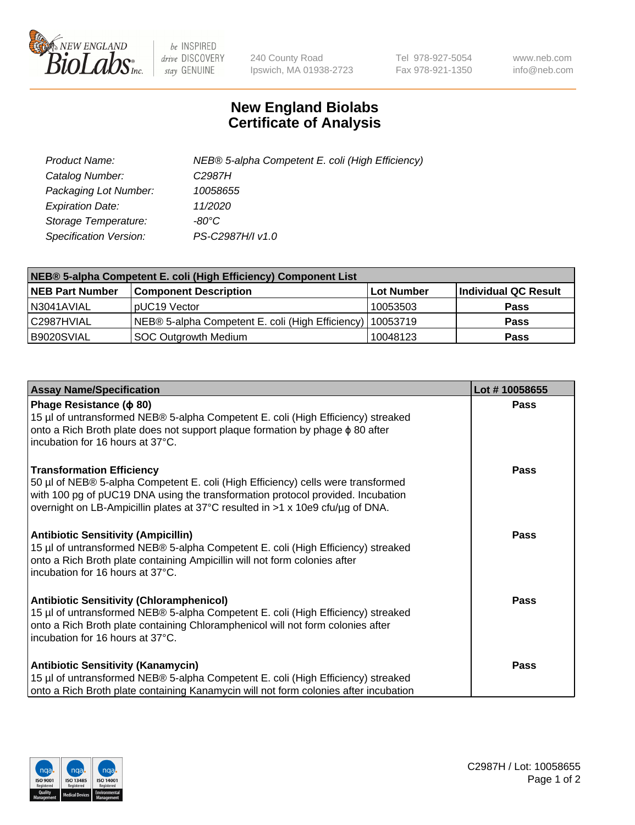

 $be$  INSPIRED drive DISCOVERY stay GENUINE

240 County Road Ipswich, MA 01938-2723 Tel 978-927-5054 Fax 978-921-1350 www.neb.com info@neb.com

## **New England Biolabs Certificate of Analysis**

| Product Name:           | NEB® 5-alpha Competent E. coli (High Efficiency) |
|-------------------------|--------------------------------------------------|
| Catalog Number:         | C <sub>2987</sub> H                              |
| Packaging Lot Number:   | 10058655                                         |
| <b>Expiration Date:</b> | 11/2020                                          |
| Storage Temperature:    | -80°C                                            |
| Specification Version:  | PS-C2987H/I v1.0                                 |

| NEB® 5-alpha Competent E. coli (High Efficiency) Component List |                                                  |            |                      |  |
|-----------------------------------------------------------------|--------------------------------------------------|------------|----------------------|--|
| <b>NEB Part Number</b>                                          | <b>Component Description</b>                     | Lot Number | Individual QC Result |  |
| N3041AVIAL                                                      | pUC19 Vector                                     | 10053503   | <b>Pass</b>          |  |
| C2987HVIAL                                                      | NEB® 5-alpha Competent E. coli (High Efficiency) | 10053719   | <b>Pass</b>          |  |
| B9020SVIAL                                                      | SOC Outgrowth Medium                             | 10048123   | <b>Pass</b>          |  |

| <b>Assay Name/Specification</b>                                                                                                                                                                                                                                                           | Lot #10058655 |
|-------------------------------------------------------------------------------------------------------------------------------------------------------------------------------------------------------------------------------------------------------------------------------------------|---------------|
| Phage Resistance ( $\phi$ 80)<br>15 µl of untransformed NEB® 5-alpha Competent E. coli (High Efficiency) streaked<br>onto a Rich Broth plate does not support plaque formation by phage $\phi$ 80 after<br>incubation for 16 hours at 37°C.                                               | <b>Pass</b>   |
| <b>Transformation Efficiency</b><br>50 µl of NEB® 5-alpha Competent E. coli (High Efficiency) cells were transformed<br>with 100 pg of pUC19 DNA using the transformation protocol provided. Incubation<br>overnight on LB-Ampicillin plates at 37°C resulted in >1 x 10e9 cfu/µg of DNA. | <b>Pass</b>   |
| Antibiotic Sensitivity (Ampicillin)<br>15 µl of untransformed NEB® 5-alpha Competent E. coli (High Efficiency) streaked<br>onto a Rich Broth plate containing Ampicillin will not form colonies after<br>incubation for 16 hours at 37°C.                                                 | Pass          |
| <b>Antibiotic Sensitivity (Chloramphenicol)</b><br>15 µl of untransformed NEB® 5-alpha Competent E. coli (High Efficiency) streaked<br>onto a Rich Broth plate containing Chloramphenicol will not form colonies after<br>incubation for 16 hours at 37°C.                                | Pass          |
| <b>Antibiotic Sensitivity (Kanamycin)</b><br>15 µl of untransformed NEB® 5-alpha Competent E. coli (High Efficiency) streaked<br>onto a Rich Broth plate containing Kanamycin will not form colonies after incubation                                                                     | Pass          |